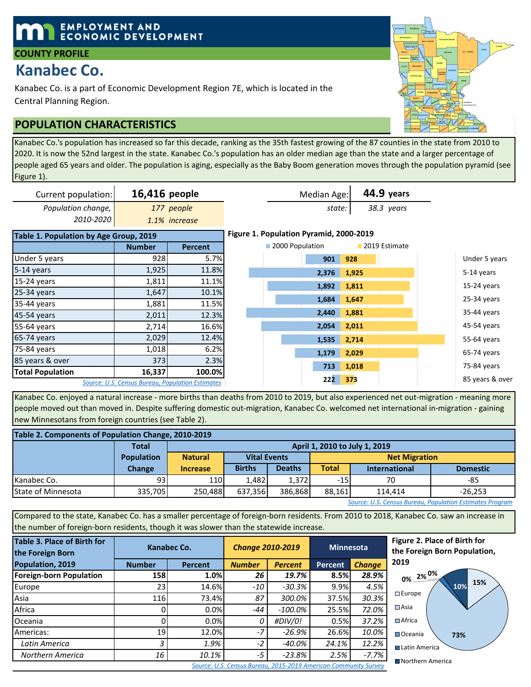## **EMPLOYMENT AND ECONOMIC DEVELOPMENT**

#### **COUNTY PROFILE**

# **Kanabec Co.**

Kanabec Co. is a part of Economic Development Region 7E, which is located in the Central Planning Region.

## **POPULATION CHARACTERISTICS**

Kanabec Co.'s population has increased so far this decade, ranking as the 35th fastest growing of the 87 counties in the state from 2010 to 2020. It is now the 52nd largest in the state. Kanabec Co.'s population has an older median age than the state and a larger percentage of people aged 65 years and older. The population is aging, especially as the Baby Boom generation moves through the population pyramid (see Figure 1).

| Current population:                    | 16,416 people |                                                  |                                         | Median Age:     | 44.9 years |               |                 |
|----------------------------------------|---------------|--------------------------------------------------|-----------------------------------------|-----------------|------------|---------------|-----------------|
| Population change,                     |               | 177 people                                       |                                         | state:          |            |               |                 |
| 2010-2020                              |               | 1.1% increase                                    |                                         |                 |            |               |                 |
| Table 1. Population by Age Group, 2019 |               |                                                  | Figure 1. Population Pyramid, 2000-2019 |                 |            |               |                 |
|                                        | <b>Number</b> | <b>Percent</b>                                   |                                         | 2000 Population |            | 2019 Estimate |                 |
| Under 5 years                          | 928           | 5.7%                                             |                                         | 901             | 928        |               | Under 5 years   |
| 5-14 years                             | 1,925         | 11.8%                                            |                                         | 2,376           | 1,925      |               | 5-14 years      |
| 15-24 years                            | 1,811         | 11.1%                                            |                                         | 1,892           | 1,811      |               | 15-24 years     |
| 25-34 years                            | 1,647         | 10.1%                                            |                                         |                 |            |               |                 |
| 35-44 years                            | 1,881         | 11.5%                                            |                                         | 1,684           | 1,647      |               | 25-34 years     |
| 45-54 years                            | 2,011         | 12.3%                                            |                                         | 2,440           | 1,881      |               | 35-44 years     |
| 55-64 years                            | 2,714         | 16.6%                                            |                                         | 2,054           | 2,011      |               | 45-54 years     |
| 65-74 years                            | 2,029         | 12.4%                                            |                                         | 1,535           | 2,714      |               | 55-64 years     |
| 75-84 years                            | 1,018         | 6.2%                                             |                                         | 1,179           | 2,029      |               | 65-74 years     |
| 85 years & over                        | 373           | 2.3%                                             |                                         |                 |            |               |                 |
| <b>Total Population</b>                | 16,337        | 100.0%                                           |                                         | 713             | 1,018      |               | 75-84 years     |
|                                        |               | Source: U.S. Census Bureau, Population Estimates |                                         | 222             | 373        |               | 85 years & over |

Kanabec Co. enjoyed a natural increase - more births than deaths from 2010 to 2019, but also experienced net out-migration - meaning more people moved out than moved in. Despite suffering domestic out-migration, Kanabec Co. welcomed net international in-migration - gaining new Minnesotans from foreign countries (see Table 2).

| Table 2. Components of Population Change, 2010-2019 |                   |                 |                                                                 |               |                      |                                         |     |  |  |  |  |
|-----------------------------------------------------|-------------------|-----------------|-----------------------------------------------------------------|---------------|----------------------|-----------------------------------------|-----|--|--|--|--|
|                                                     | <b>Total</b>      |                 | April 1, 2010 to July 1, 2019                                   |               |                      |                                         |     |  |  |  |  |
|                                                     | <b>Population</b> | <b>Natural</b>  | <b>Vital Events</b>                                             |               | <b>Net Migration</b> |                                         |     |  |  |  |  |
|                                                     | <b>Change</b>     | <b>Increase</b> | <b>Births</b>                                                   | <b>Deaths</b> | <b>Total</b>         | <b>Domestic</b><br><b>International</b> |     |  |  |  |  |
| Kanabec Co.                                         | 931               | 110             | 1.482                                                           | 1.372         | $-15$                | 70                                      | -85 |  |  |  |  |
| <b>State of Minnesota</b>                           | 335.705           |                 | 250.488<br>386.868<br>88.161<br>637.356<br>$-26.253$<br>114.414 |               |                      |                                         |     |  |  |  |  |

*Source: U.S. Census Bureau, Population Estimates Program*

Compared to the state, Kanabec Co. has a smaller percentage of foreign-born residents. From 2010 to 2018, Kanabec Co. saw an increase in the number of foreign-born residents, though it was slower than the statewide increase.

| <b>Table 3. Place of Birth for</b><br>the Foreign Born |                          | Kanabec Co. | <b>Change 2010-2019</b> |                | <b>Minnesota</b> |               |  |
|--------------------------------------------------------|--------------------------|-------------|-------------------------|----------------|------------------|---------------|--|
| Population, 2019                                       | <b>Number</b><br>Percent |             | <b>Number</b>           | <b>Percent</b> |                  | <b>Change</b> |  |
| <b>Foreign-born Population</b>                         | <b>158</b>               | 1.0%        | 26                      | 19.7%          | 8.5%             | 28.9%         |  |
| Europe                                                 | 23                       | 14.6%       | $-10$                   | $-30.3%$       | 9.9%             | 4.5%          |  |
| Asia                                                   | 116                      | 73.4%       | 87                      | 300.0%         | 37.5%            | 30.3%         |  |
| Africa                                                 | 0                        | 0.0%        | -44                     | $-100.0\%$     | 25.5%            | 72.0%         |  |
| Oceania                                                | 0                        | 0.0%        | 0                       | #DIV/0!        | 0.5%             | 37.2%         |  |
| Americas:                                              | 19                       | 12.0%       | $-7$                    | $-26.9%$       | 26.6%            | 10.0%         |  |
| Latin America                                          | 3                        | 1.9%        | $-2$                    | -40.0%         | 24.1%            | 12.2%         |  |
| Northern America                                       | 16                       | 10.1%       | $-5$                    | $-23.8%$       | 2.5%             | $-7.7%$       |  |

**Figure 2. Place of Birth for the Foreign Born Population, 2019**



*Source: U.S. Census Bureau, 2015-2019 American Community Survey*

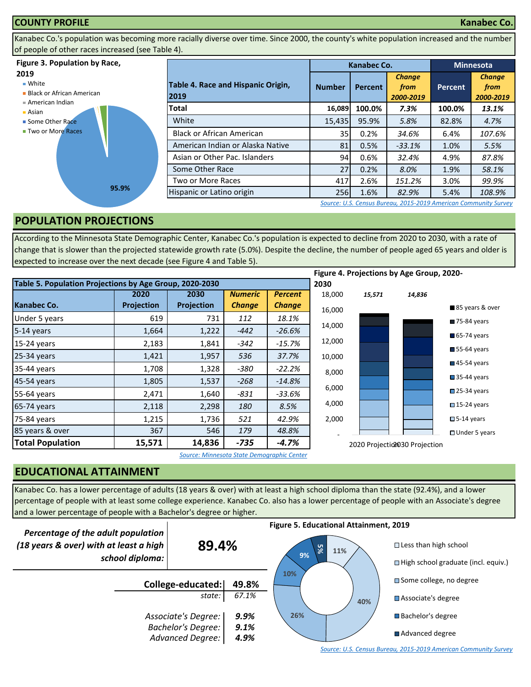

Kanabec Co.'s population was becoming more racially diverse over time. Since 2000, the county's white population increased and the number of people of other races increased (see Table 4).

#### **Figure 3. Population by Race,**

#### **2019**

■ White

- **Black or African American**
- American Indian
- Asian ■ Some Other Race
- **Two or More Races**



|                                            |                 | Kanabec Co.    |                                    | <b>Minnesota</b> |                                    |  |
|--------------------------------------------|-----------------|----------------|------------------------------------|------------------|------------------------------------|--|
| Table 4. Race and Hispanic Origin,<br>2019 | <b>Number</b>   | <b>Percent</b> | <b>Change</b><br>from<br>2000-2019 | <b>Percent</b>   | <b>Change</b><br>from<br>2000-2019 |  |
| Total                                      | 16,089          | 100.0%         | 7.3%                               | 100.0%           | 13.1%                              |  |
| White                                      | 15,435          | 95.9%          | 5.8%                               | 82.8%            | 4.7%                               |  |
| <b>Black or African American</b>           | 35              | 0.2%           | 34.6%                              | 6.4%             | 107.6%                             |  |
| American Indian or Alaska Native           | 81              | 0.5%           | $-33.1%$                           | 1.0%             | 5.5%                               |  |
| Asian or Other Pac. Islanders              | 94              | 0.6%           | 32.4%                              | 4.9%             | 87.8%                              |  |
| Some Other Race                            | 27 <sup>1</sup> | 0.2%           | 8.0%                               | 1.9%             | 58.1%                              |  |
| Two or More Races                          | 417             | 2.6%           | 151.2%                             | 3.0%             | 99.9%                              |  |
| Hispanic or Latino origin                  | 256             | 1.6%           | 82.9%                              | 5.4%             | 108.9%                             |  |

*[S](http://factfinder.census.gov/faces/nav/jsf/pages/searchresults.xhtml?refresh=t)ource: U.S. Census Bureau, 2015-2019 American Community Survey*

### **POPULATION PROJECTIONS**

According to the Minnesota State Demographic Center, Kanabec Co.'s population is expected to decline from 2020 to 2030, with a rate of change that is slower than the projected statewide growth rate (5.0%). Despite the decline, the number of people aged 65 years and older is expected to increase over the next decade (see Figure 4 and Table 5).

|                                                         |                   |            |                |                |        |        | Figure 4. Projections by Age Group, 2020- |                            |
|---------------------------------------------------------|-------------------|------------|----------------|----------------|--------|--------|-------------------------------------------|----------------------------|
| Table 5. Population Projections by Age Group, 2020-2030 |                   |            |                |                | 2030   |        |                                           |                            |
|                                                         | 2020              | 2030       | <b>Numeric</b> | <b>Percent</b> | 18,000 | 15,571 | 14,836                                    |                            |
| <b>Kanabec Co.</b>                                      | <b>Projection</b> | Projection | <b>Change</b>  | <b>Change</b>  | 16,000 |        |                                           | 85 years & over            |
| Under 5 years                                           | 619               | 731        | 112            | 18.1%          |        |        |                                           | 75-84 years                |
| 5-14 years                                              | 1,664             | 1,222      | $-442$         | $-26.6%$       | 14,000 |        |                                           | 65-74 years                |
| 15-24 years                                             | 2,183             | 1,841      | $-342$         | $-15.7%$       | 12,000 |        |                                           |                            |
| 25-34 years                                             | 1,421             | 1,957      | 536            | 37.7%          | 10,000 |        |                                           | $\blacksquare$ 55-64 years |
| 35-44 years                                             | 1,708             | 1,328      | -380           | $-22.2%$       | 8,000  |        |                                           | $\blacksquare$ 45-54 years |
| 45-54 years                                             | 1,805             | 1,537      | $-268$         | $-14.8%$       |        |        |                                           | $\blacksquare$ 35-44 years |
| 55-64 years                                             | 2,471             | 1,640      | -831           | $-33.6%$       | 6,000  |        |                                           | 25-34 years                |
| 65-74 years                                             | 2,118             | 2,298      | 180            | 8.5%           | 4,000  |        |                                           | $\square$ 15-24 years      |
| 75-84 years                                             | 1,215             | 1,736      | 521            | 42.9%          | 2,000  |        |                                           | $\square$ 5-14 years       |
| 85 years & over                                         | 367               | 546        | 179            | 48.8%          |        |        |                                           | $\Box$ Under 5 years       |
| <b>Total Population</b>                                 | 15,571            | 14,836     | $-735$         | $-4.7%$        |        |        | 2020 Projection 30 Projection             |                            |

*Source: Minnesota State Demographic Center*

## **EDUCATIONAL ATTAINMENT**

Kanabec Co. has a lower percentage of adults (18 years & over) with at least a high school diploma than the state (92.4%), and a lower percentage of people with at least some college experience. Kanabec Co. also has a lower percentage of people with an Associate's degree and a lower percentage of people with a Bachelor's degree or higher.



*[S](http://factfinder.census.gov/faces/nav/jsf/pages/searchresults.xhtml?refresh=t)ource: U.S. Census Bureau, 2015-2019 American Community Survey*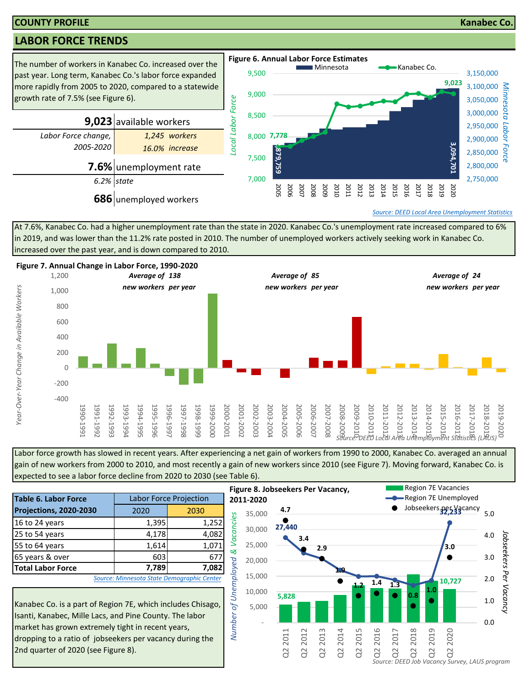#### **COUNTY PROFILE Kanabec Co.**

## **LABOR FORCE TRENDS**



At 7.6%, Kanabec Co. had a higher unemployment rate than the state in 2020. Kanabec Co.'s unemployment rate increased compared to 6% in 2019, and was lower than the 11.2% rate posted in 2010. The number of unemployed workers actively seeking work in Kanabec Co. increased over the past year, and is down compared to 2010.



Labor force growth has slowed in recent years. After experiencing a net gain of workers from 1990 to 2000, Kanabec Co. averaged an annual gain of new workers from 2000 to 2010, and most recently a gain of new workers since 2010 (see Figure 7). Moving forward, Kanabec Co. is expected to see a labor force decline from 2020 to 2030 (see Table 6).

| <b>Table 6. Labor Force</b>                                                                                                                                                                                                             |       | <b>Labor Force Projection</b>              | 20 <sub>i</sub>         |  |  |  |
|-----------------------------------------------------------------------------------------------------------------------------------------------------------------------------------------------------------------------------------------|-------|--------------------------------------------|-------------------------|--|--|--|
| <b>Projections, 2020-2030</b>                                                                                                                                                                                                           | 2020  | 2030                                       |                         |  |  |  |
| 16 to 24 years                                                                                                                                                                                                                          | 1,395 | 1,252                                      | Vacancies               |  |  |  |
| 25 to 54 years                                                                                                                                                                                                                          | 4,178 | 4,082                                      |                         |  |  |  |
| 55 to 64 years                                                                                                                                                                                                                          | 1,614 | 1,071                                      |                         |  |  |  |
| 65 years & over                                                                                                                                                                                                                         | 603   | 677                                        | ళ                       |  |  |  |
| <b>Total Labor Force</b>                                                                                                                                                                                                                | 7,789 | 7,082                                      |                         |  |  |  |
|                                                                                                                                                                                                                                         |       | Source: Minnesota State Demographic Center |                         |  |  |  |
| Kanabec Co. is a part of Region 7E, which includes Chisago,<br>Isanti, Kanabec, Mille Lacs, and Pine County. The labor<br>market has grown extremely tight in recent years,<br>dropping to a ratio of jobseekers per vacancy during the |       |                                            | of Unemployed<br>Number |  |  |  |

Kanabec Co. is a part of Region 7E, which includes Chisago, Isanti, Kanabec, Mille Lacs, and Pine County. The labor market has grown extremely tight in recent years, dropping to a ratio of jobseekers per vacancy during the 2nd quarter of 2020 (see Figure 8).

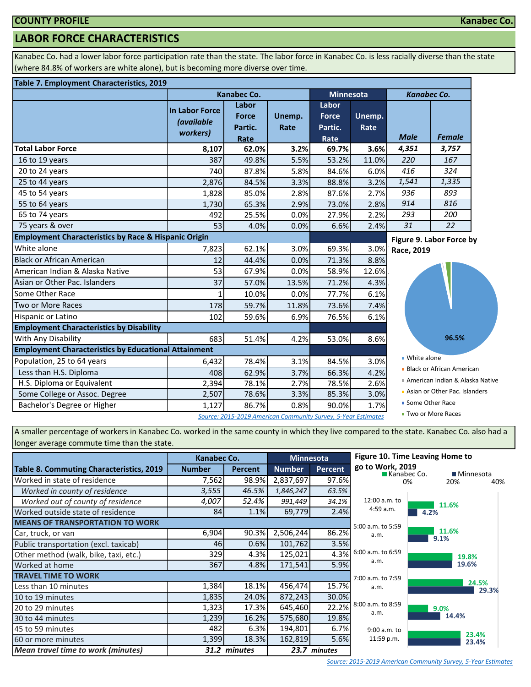## **LABOR FORCE CHARACTERISTICS**

Kanabec Co. had a lower labor force participation rate than the state. The labor force in Kanabec Co. is less racially diverse than the state (where 84.8% of workers are white alone), but is becoming more diverse over time.

#### **Table 7. Employment Characteristics, 2019**

|                                                                 |                                                        | <b>Kanabec Co.</b>                                            |                | <b>Minnesota</b>                         |                | <b>Kanabec Co.</b> |                                 |  |
|-----------------------------------------------------------------|--------------------------------------------------------|---------------------------------------------------------------|----------------|------------------------------------------|----------------|--------------------|---------------------------------|--|
|                                                                 | <b>In Labor Force</b><br><i>(available</i><br>workers) | Labor<br><b>Force</b><br>Partic.<br>Rate                      | Unemp.<br>Rate | Labor<br><b>Force</b><br>Partic.<br>Rate | Unemp.<br>Rate | <b>Male</b>        | <b>Female</b>                   |  |
| <b>Total Labor Force</b>                                        | 8,107                                                  | 62.0%                                                         | 3.2%           | 69.7%                                    | 3.6%           | 4,351              | 3,757                           |  |
| 16 to 19 years                                                  | 387                                                    | 49.8%                                                         | 5.5%           | 53.2%                                    | 11.0%          | 220                | 167                             |  |
| 20 to 24 years                                                  | 740                                                    | 87.8%                                                         | 5.8%           | 84.6%                                    | 6.0%           | 416                | 324                             |  |
| 25 to 44 years                                                  | 2,876                                                  | 84.5%                                                         | 3.3%           | 88.8%                                    | 3.2%           | 1,541              | 1,335                           |  |
| 45 to 54 years                                                  | 1,828                                                  | 85.0%                                                         | 2.8%           | 87.6%                                    | 2.7%           | 936                | 893                             |  |
| 55 to 64 years                                                  | 1,730                                                  | 65.3%                                                         | 2.9%           | 73.0%                                    | 2.8%           | 914                | 816                             |  |
| 65 to 74 years                                                  | 492                                                    | 25.5%                                                         | 0.0%           | 27.9%                                    | 2.2%           | 293                | 200                             |  |
| 75 years & over                                                 | 53                                                     | 4.0%                                                          | 0.0%           | 6.6%                                     | 2.4%           | 31                 | 22                              |  |
| <b>Employment Characteristics by Race &amp; Hispanic Origin</b> |                                                        |                                                               |                |                                          |                |                    | Figure 9. Labor Force by        |  |
| White alone                                                     | 7,823                                                  | 62.1%                                                         | 3.0%           | 69.3%                                    | 3.0%           | Race, 2019         |                                 |  |
| Black or African American                                       | 12                                                     | 44.4%                                                         | 0.0%           | 71.3%                                    | 8.8%           |                    |                                 |  |
| American Indian & Alaska Native                                 | 53                                                     | 67.9%                                                         | 0.0%           | 58.9%                                    | 12.6%          |                    |                                 |  |
| Asian or Other Pac. Islanders                                   | 37                                                     | 57.0%                                                         | 13.5%          | 71.2%                                    | 4.3%           |                    |                                 |  |
| Some Other Race                                                 |                                                        | 10.0%                                                         | 0.0%           | 77.7%                                    | 6.1%           |                    |                                 |  |
| Two or More Races                                               | 178                                                    | 59.7%                                                         | 11.8%          | 73.6%                                    | 7.4%           |                    |                                 |  |
| Hispanic or Latino                                              | 102                                                    | 59.6%                                                         | 6.9%           | 76.5%                                    | 6.1%           |                    |                                 |  |
| <b>Employment Characteristics by Disability</b>                 |                                                        |                                                               |                |                                          |                |                    |                                 |  |
| With Any Disability                                             | 683                                                    | 51.4%                                                         | 4.2%           | 53.0%                                    | 8.6%           |                    | 96.5%                           |  |
| <b>Employment Characteristics by Educational Attainment</b>     |                                                        |                                                               |                |                                          |                |                    |                                 |  |
| Population, 25 to 64 years                                      | 6,432                                                  | 78.4%                                                         | 3.1%           | 84.5%                                    | 3.0%           | ■ White alone      |                                 |  |
| Less than H.S. Diploma                                          | 408                                                    | 62.9%                                                         | 3.7%           | 66.3%                                    | 4.2%           |                    | • Black or African American     |  |
| H.S. Diploma or Equivalent                                      | 2,394                                                  | 78.1%                                                         | 2.7%           | 78.5%                                    | 2.6%           |                    | American Indian & Alaska Native |  |
| Some College or Assoc. Degree                                   | 2,507                                                  | 78.6%                                                         | 3.3%           | 85.3%                                    | 3.0%           |                    | Asian or Other Pac. Islanders   |  |
| Bachelor's Degree or Higher                                     | 1,127                                                  | 86.7%                                                         | 0.8%           | 90.0%                                    | 1.7%           | ■ Some Other Race  |                                 |  |
|                                                                 |                                                        | Source: 2015-2019 American Community Survey, 5-Year Estimates |                |                                          |                |                    | ■ Two or More Races             |  |

**Kanabec Co.**

 $40%$ 

A smaller percentage of workers in Kanabec Co. worked in the same county in which they live compared to the state. Kanabec Co. also had a longer average commute time than the state.

|                                           | <b>Minnesota</b><br>Kanabec Co. |                |               | Figure 10. Time Leaving Home to |                                 |               |                  |
|-------------------------------------------|---------------------------------|----------------|---------------|---------------------------------|---------------------------------|---------------|------------------|
| Table 8. Commuting Characteristics, 2019  | <b>Number</b>                   | <b>Percent</b> | <b>Number</b> | <b>Percent</b>                  | go to Work, 2019<br>Kanabec Co. |               | <b>Minnesota</b> |
| Worked in state of residence              | 7,562                           | 98.9%          | 2,837,697     | 97.6%                           |                                 | 0%            | 20%<br>40        |
| Worked in county of residence             | 3,555                           | 46.5%          | 1,846,247     | 63.5%                           |                                 |               |                  |
| Worked out of county of residence         | 4,007                           | 52.4%          | 991,449       | 34.1%                           | 12:00 a.m. to                   | 11.6%         |                  |
| Worked outside state of residence         | 84                              | 1.1%           | 69,779        | 2.4%                            | 4:59 a.m.                       | 4.2%          |                  |
| <b>MEANS OF TRANSPORTATION TO WORK</b>    |                                 |                |               |                                 | 5:00 a.m. to 5:59               |               |                  |
| Car, truck, or van                        | 6,904                           | 90.3%          | 2,506,244     | 86.2%                           | a.m.                            | 11.6%<br>9.1% |                  |
| Public transportation (excl. taxicab)     | 46                              | 0.6%           | 101,762       | 3.5%                            |                                 |               |                  |
| Other method (walk, bike, taxi, etc.)     | 329                             | 4.3%           | 125,021       | 4.3%                            | 6:00 a.m. to 6:59               |               | 19.8%            |
| Worked at home                            | 367                             | 4.8%           | 171,541       | 5.9%                            | a.m.                            |               | 19.6%            |
| <b>TRAVEL TIME TO WORK</b>                |                                 |                |               |                                 | 7:00 a.m. to 7:59               |               |                  |
| Less than 10 minutes                      | 1,384                           | 18.1%          | 456,474       | 15.7%                           | a.m.                            |               | 24.5%<br>29.3%   |
| 10 to 19 minutes                          | 1,835                           | 24.0%          | 872,243       | 30.0%                           |                                 |               |                  |
| 20 to 29 minutes                          | 1,323                           | 17.3%          | 645,460       | 22.2%                           | 8:00 a.m. to 8:59<br>a.m.       | 9.0%          |                  |
| 30 to 44 minutes                          | 1,239                           | 16.2%          | 575,680       | 19.8%                           |                                 |               | 14.4%            |
| 45 to 59 minutes                          | 482                             | 6.3%           | 194,801       | 6.7%                            | 9:00 a.m. to                    |               | 23.4%            |
| 60 or more minutes                        | 1,399                           | 18.3%          | 162,819       | 5.6%                            | 11:59 p.m.                      |               | 23.4%            |
| <b>Mean travel time to work (minutes)</b> |                                 | 31.2 minutes   |               | 23.7 minutes                    |                                 |               |                  |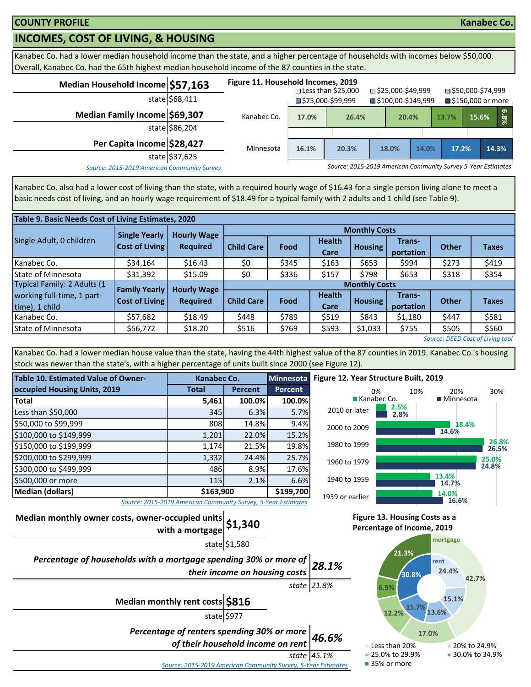## **INCOMES, COST OF LIVING, & HOUSING**

Kanabec Co. had a lower median household income than the state, and a higher percentage of households with incomes below \$50,000. Overall, Kanabec Co. had the 65th highest median household income of the 87 counties in the state.

| Median Household Income \$57,163            | state \$68,411 | Figure 11. Household Incomes, 2019 |       | $\square$ Less than \$25,000<br>$\blacksquare$ \$75,000-\$99,999 |       | □ \$25,000-\$49,999<br>■\$100,00-\$149,999 |       | ■\$50,000-\$74,999<br>■ \$150,000 or more |       |       |      |
|---------------------------------------------|----------------|------------------------------------|-------|------------------------------------------------------------------|-------|--------------------------------------------|-------|-------------------------------------------|-------|-------|------|
| Median Family Income \$69,307               | state \$86,204 | Kanabec Co.                        | 17.0% | 26.4%                                                            |       | 20.4%                                      |       | 13.7%                                     | 15.6% |       | 6.8% |
| Per Capita Income \$28,427                  | state \$37,625 | Minnesota                          | 16.1% | 20.3%                                                            | 18.0% |                                            | 14.0% | 17.2%                                     |       | 14.3% |      |
| Source: 2015-2019 American Community Survey |                |                                    |       | Source: 2015-2019 American Community Survey 5-Year Estimates     |       |                                            |       |                                           |       |       |      |

Kanabec Co. also had a lower cost of living than the state, with a required hourly wage of \$16.43 for a single person living alone to meet a basic needs cost of living, and an hourly wage requirement of \$18.49 for a typical family with 2 adults and 1 child (see Table 9).

|                                  | Table 9. Basic Needs Cost of Living Estimates, 2020 |                    |                      |                      |                       |                |                     |              |              |  |  |
|----------------------------------|-----------------------------------------------------|--------------------|----------------------|----------------------|-----------------------|----------------|---------------------|--------------|--------------|--|--|
|                                  | <b>Single Yearly</b>                                | <b>Hourly Wage</b> |                      | <b>Monthly Costs</b> |                       |                |                     |              |              |  |  |
| Single Adult, 0 children         | Cost of Living                                      | <b>Required</b>    | <b>Child Care</b>    | Food                 | <b>Health</b><br>Care | <b>Housing</b> | Trans-<br>portation | <b>Other</b> | <b>Taxes</b> |  |  |
| Kanabec Co.                      | \$34,164                                            | \$16.43            | \$0                  | \$345                | \$163                 | \$653          | \$994               | \$273        | \$419        |  |  |
| State of Minnesota               | \$31,392                                            | \$15.09            | \$0                  | \$336                | \$157                 | \$798          | \$653               | \$318        | \$354        |  |  |
| Typical Family: 2 Adults (1      | <b>Family Yearly</b>                                | <b>Hourly Wage</b> | <b>Monthly Costs</b> |                      |                       |                |                     |              |              |  |  |
| working full-time, 1 part-       | <b>Cost of Living</b>                               |                    | <b>Child Care</b>    | Food                 | <b>Health</b>         | <b>Housing</b> | Trans-              | <b>Other</b> | <b>Taxes</b> |  |  |
| time), 1 child                   |                                                     | <b>Required</b>    |                      |                      | Care                  |                | portation           |              |              |  |  |
| Kanabec Co.                      | \$57,682                                            | \$18.49            | \$448                | \$789                | \$519                 | \$843          | \$1,180             | \$447        | \$581        |  |  |
| State of Minnesota               | \$56,772                                            | \$18.20            | \$516                | \$769                | \$593                 | \$1,033        | \$755               | \$505        | \$560        |  |  |
| Source: DEED Cost of Living tool |                                                     |                    |                      |                      |                       |                |                     |              |              |  |  |

Kanabec Co. had a lower median house value than the state, having the 44th highest value of the 87 counties in 2019. Kanabec Co.'s housing stock was newer than the state's, with a higher percentage of units built since 2000 (see Figure 12).

| <b>Table 10. Estimated Value of Owner-</b> | Kanabec Co.                                                   |                | <b>Minnesota</b> |  |  |  |
|--------------------------------------------|---------------------------------------------------------------|----------------|------------------|--|--|--|
| occupied Housing Units, 2019               | <b>Total</b>                                                  | <b>Percent</b> | <b>Percent</b>   |  |  |  |
| <b>Total</b>                               | 5,461                                                         | 100.0%         | 100.0%           |  |  |  |
| Less than \$50,000                         | 345                                                           | 6.3%           | 5.7%             |  |  |  |
| \$50,000 to \$99,999                       | 808                                                           | 14.8%          | 9.4%             |  |  |  |
| \$100,000 to \$149,999                     | 1,201                                                         | 22.0%          | 15.2%            |  |  |  |
| \$150,000 to \$199,999                     | 1,174                                                         | 21.5%          | 19.8%            |  |  |  |
| \$200,000 to \$299,999                     | 1,332                                                         | 24.4%          | 25.7%            |  |  |  |
| \$300,000 to \$499,999                     | 486                                                           | 8.9%           | 17.6%            |  |  |  |
| \$500,000 or more                          | 115                                                           | 2.1%           | 6.6%             |  |  |  |
| \$163,900<br><b>Median (dollars)</b>       |                                                               |                |                  |  |  |  |
|                                            | Source: 2015-2019 American Community Survey, 5-Year Estimates |                |                  |  |  |  |



*Source: 2015-2019 American Community Survey, 5-Year Estimates*

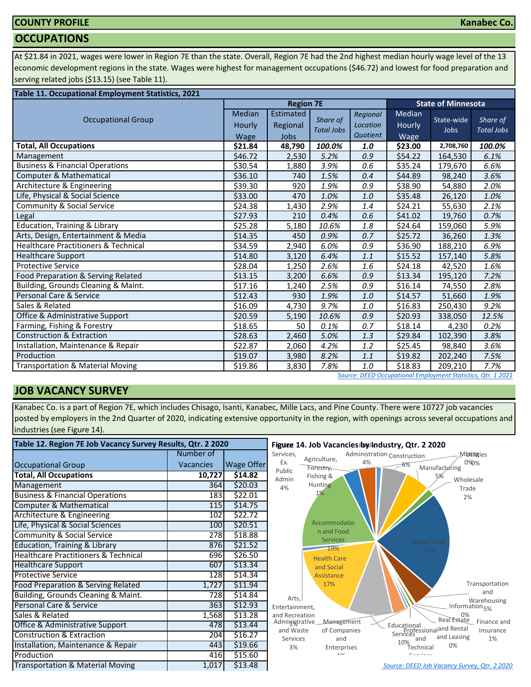### **COUNTY PROFILE**

#### **OCCUPATIONS**

At \$21.84 in 2021, wages were lower in Region 7E than the state. Overall, Region 7E had the 2nd highest median hourly wage level of the 13 economic development regions in the state. Wages were highest for management occupations (\$46.72) and lowest for food preparation and serving related jobs (\$13.15) (see Table 11).

| Table 11. Occupational Employment Statistics, 2021 |                                 |                                             |                               |                                  |                          |                           |                               |
|----------------------------------------------------|---------------------------------|---------------------------------------------|-------------------------------|----------------------------------|--------------------------|---------------------------|-------------------------------|
|                                                    |                                 | <b>Region 7E</b>                            |                               |                                  |                          | <b>State of Minnesota</b> |                               |
| <b>Occupational Group</b>                          | <b>Median</b><br>Hourly<br>Wage | <b>Estimated</b><br>Regional<br><b>Jobs</b> | Share of<br><b>Total Jobs</b> | Regional<br>Location<br>Quotient | Median<br>Hourly<br>Wage | State-wide<br>Jobs        | Share of<br><b>Total Jobs</b> |
| <b>Total, All Occupations</b>                      | \$21.84                         | 48,790                                      | 100.0%                        | 1.0                              | \$23.00                  | 2,708,760                 | 100.0%                        |
| Management                                         | \$46.72                         | 2,530                                       | 5.2%                          | 0.9                              | \$54.22                  | 164,530                   | 6.1%                          |
| <b>Business &amp; Financial Operations</b>         | \$30.54                         | 1,880                                       | 3.9%                          | 0.6                              | \$35.24                  | 179,670                   | 6.6%                          |
| Computer & Mathematical                            | \$36.10                         | 740                                         | 1.5%                          | 0.4                              | \$44.89                  | 98,240                    | 3.6%                          |
| Architecture & Engineering                         | \$39.30                         | 920                                         | 1.9%                          | 0.9                              | \$38.90                  | 54,880                    | 2.0%                          |
| Life, Physical & Social Science                    | \$33.00                         | 470                                         | 1.0%                          | 1.0                              | \$35.48                  | 26,120                    | 1.0%                          |
| Community & Social Service                         | \$24.38                         | 1,430                                       | 2.9%                          | 1.4                              | \$24.21                  | 55,630                    | 2.1%                          |
| Legal                                              | \$27.93                         | 210                                         | 0.4%                          | 0.6                              | \$41.02                  | 19,760                    | 0.7%                          |
| <b>Education, Training &amp; Library</b>           | \$25.28                         | 5,180                                       | 10.6%                         | $1.8\,$                          | \$24.64                  | 159,060                   | 5.9%                          |
| Arts, Design, Entertainment & Media                | \$14.35                         | 450                                         | 0.9%                          | 0.7                              | \$25.72                  | 36,260                    | 1.3%                          |
| <b>Healthcare Practitioners &amp; Technical</b>    | \$34.59                         | 2,940                                       | 6.0%                          | 0.9                              | \$36.90                  | 188,210                   | 6.9%                          |
| <b>Healthcare Support</b>                          | \$14.80                         | 3,120                                       | 6.4%                          | 1.1                              | \$15.52                  | 157,140                   | 5.8%                          |
| <b>Protective Service</b>                          | \$28.04                         | 1,250                                       | 2.6%                          | 1.6                              | \$24.18                  | 42,520                    | 1.6%                          |
| Food Preparation & Serving Related                 | \$13.15                         | 3,200                                       | 6.6%                          | 0.9                              | \$13.34                  | 195,120                   | 7.2%                          |
| Building, Grounds Cleaning & Maint.                | \$17.16                         | 1,240                                       | 2.5%                          | 0.9                              | \$16.14                  | 74,550                    | 2.8%                          |
| Personal Care & Service                            | \$12.43                         | 930                                         | 1.9%                          | 1.0                              | \$14.57                  | 51,660                    | 1.9%                          |
| Sales & Related                                    | \$16.09                         | 4,730                                       | 9.7%                          | 1.0                              | \$16.83                  | 250,430                   | 9.2%                          |
| Office & Administrative Support                    | \$20.59                         | 5,190                                       | 10.6%                         | 0.9                              | \$20.93                  | 338,050                   | 12.5%                         |
| Farming, Fishing & Forestry                        | \$18.65                         | 50                                          | 0.1%                          | 0.7                              | \$18.14                  | 4,230                     | 0.2%                          |
| <b>Construction &amp; Extraction</b>               | \$28.63                         | 2,460                                       | 5.0%                          | 1.3                              | \$29.84                  | 102,390                   | 3.8%                          |
| Installation, Maintenance & Repair                 | \$22.87                         | 2,060                                       | 4.2%                          | 1.2                              | \$25.45                  | 98,840                    | 3.6%                          |
| Production                                         | \$19.07                         | 3,980                                       | 8.2%                          | 1.1                              | \$19.82                  | 202,240                   | 7.5%                          |
| <b>Transportation &amp; Material Moving</b>        | \$19.86                         | 3,830                                       | 7.8%                          | 1.0                              | \$18.83                  | 209,210                   | 7.7%                          |

**JOB VACANCY SURVEY**

Kanabec Co. is a part of Region 7E, which includes Chisago, Isanti, Kanabec, Mille Lacs, and Pine County. There were 10727 job vacancies posted by employers in the 2nd Quarter of 2020, indicating extensive opportunity in the region, with openings across several occupations and industries (see Figure 14).

| Table 12. Region 7E Job Vacancy Survey Results, Qtr. 2 2020 |                  |            | Figure 14. Job Vacancies by Industry, Qtr. 2 2020                                                                                           |  |  |  |  |
|-------------------------------------------------------------|------------------|------------|---------------------------------------------------------------------------------------------------------------------------------------------|--|--|--|--|
|                                                             | Number of        |            | Services,<br>Administration Construction<br>Muthities<br>Agriculture,                                                                       |  |  |  |  |
| <b>Occupational Group</b>                                   | <b>Vacancies</b> | Wage Offer | Ex.<br>0%0%<br>4%<br>$-6%$<br>Manufacturing<br>Forestry.                                                                                    |  |  |  |  |
| <b>Total, All Occupations</b>                               | 10,727           | \$14.82    | Public<br>Fishing &<br>5%<br>Admin<br>Wholesale                                                                                             |  |  |  |  |
| Management                                                  | 364              | \$20.03    | <b>Hunting</b><br>4%<br>Trade                                                                                                               |  |  |  |  |
| <b>Business &amp; Financial Operations</b>                  | 183              | \$22.01    | 1%<br>2%                                                                                                                                    |  |  |  |  |
| Computer & Mathematical                                     | 115              | \$14.75    |                                                                                                                                             |  |  |  |  |
| Architecture & Engineering                                  | 102              | \$22.72    |                                                                                                                                             |  |  |  |  |
| Life, Physical & Social Sciences                            | 100              | \$20.51    | Accommodatio<br>n and Food                                                                                                                  |  |  |  |  |
| Community & Social Service                                  | 278              | \$18.88    | <b>Services</b>                                                                                                                             |  |  |  |  |
| Education, Training & Library                               | 876              | \$21.52    | <b>Retail Trade</b><br>19%<br>22%                                                                                                           |  |  |  |  |
| <b>Healthcare Practitioners &amp; Technical</b>             | 696              | \$26.50    | <b>Health Care</b>                                                                                                                          |  |  |  |  |
| <b>Healthcare Support</b>                                   | 607              | \$13.34    | and Social                                                                                                                                  |  |  |  |  |
| <b>Protective Service</b>                                   | 128              | \$14.34    | Assistance                                                                                                                                  |  |  |  |  |
| Food Preparation & Serving Related                          | 1,727            | \$11.94    | Transportation<br>17%                                                                                                                       |  |  |  |  |
| Building, Grounds Cleaning & Maint.                         | 728              | \$14.84    | and<br>Arts,<br>Warehousing                                                                                                                 |  |  |  |  |
| Personal Care & Service                                     | 363              | \$12.93    | Information <sub>5%</sub><br>Entertainment,                                                                                                 |  |  |  |  |
| Sales & Related                                             | 1,568            | \$13.28    | 0%<br>and Recreation<br>Real Estate                                                                                                         |  |  |  |  |
| <b>Office &amp; Administrative Support</b>                  | 478              | \$13.44    | Finance and<br>Administrative<br>Management<br>Educational<br>Professional and Rental<br>Services<br>and Waste<br>of Companies<br>Insurance |  |  |  |  |
| Construction & Extraction                                   | 204              | \$16.27    | and Leasing<br>1%<br>Services<br>and<br>and                                                                                                 |  |  |  |  |
| Installation, Maintenance & Repair                          | 443              | \$19.66    | 10%<br>0%<br>3%<br>Technical<br>Enterprises                                                                                                 |  |  |  |  |
| Production                                                  | 416              | \$15.60    | 101<br>Camilana                                                                                                                             |  |  |  |  |
| <b>Transportation &amp; Material Moving</b>                 | 1,017            | \$13.48    | Source: DEED Job Vacancy Survey, Qtr. 2 2020                                                                                                |  |  |  |  |

*[S](http://www.mn.gov/deed/data/data-tools/oes/)ource: DEED Occupational Employment Statistics, Qtr. 1 2021*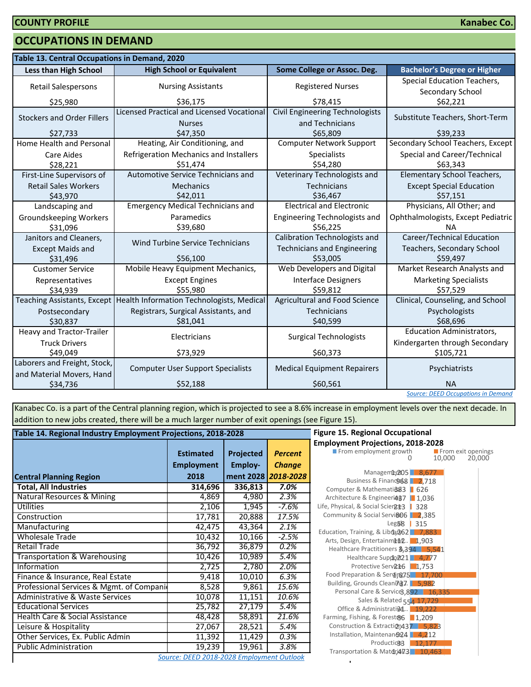#### **OCCUPATIONS IN DEMAND**

| Table 13. Central Occupations in Demand, 2020             |                                                             |                                                    |                                                 |  |  |  |  |
|-----------------------------------------------------------|-------------------------------------------------------------|----------------------------------------------------|-------------------------------------------------|--|--|--|--|
| <b>Less than High School</b>                              | <b>High School or Equivalent</b>                            | Some College or Assoc. Deg.                        | <b>Bachelor's Degree or Higher</b>              |  |  |  |  |
| <b>Retail Salespersons</b>                                | <b>Nursing Assistants</b>                                   | <b>Registered Nurses</b>                           | Special Education Teachers,<br>Secondary School |  |  |  |  |
| \$25,980                                                  | \$36,175                                                    | \$78.415                                           | \$62,221                                        |  |  |  |  |
| <b>Stockers and Order Fillers</b>                         | Licensed Practical and Licensed Vocational<br><b>Nurses</b> | Civil Engineering Technologists<br>and Technicians | Substitute Teachers, Short-Term                 |  |  |  |  |
| \$27,733                                                  | \$47,350                                                    | \$65,809                                           | \$39.233                                        |  |  |  |  |
| Home Health and Personal                                  | Heating, Air Conditioning, and                              | <b>Computer Network Support</b>                    | Secondary School Teachers, Except               |  |  |  |  |
| <b>Care Aides</b><br>\$28,221                             | Refrigeration Mechanics and Installers<br>\$51,474          | <b>Specialists</b><br>\$54,280                     | Special and Career/Technical<br>\$63,343        |  |  |  |  |
| First-Line Supervisors of                                 | Automotive Service Technicians and                          | Veterinary Technologists and                       | <b>Elementary School Teachers,</b>              |  |  |  |  |
| <b>Retail Sales Workers</b><br>\$43,970                   | <b>Mechanics</b><br>\$42,011                                | Technicians<br>\$36,467                            | <b>Except Special Education</b><br>\$57,151     |  |  |  |  |
| Landscaping and                                           | <b>Emergency Medical Technicians and</b>                    | <b>Electrical and Electronic</b>                   | Physicians, All Other; and                      |  |  |  |  |
| <b>Groundskeeping Workers</b><br>\$31,096                 | Paramedics<br>\$39,680                                      | Engineering Technologists and<br>\$56,225          | Ophthalmologists, Except Pediatric<br>ΝA        |  |  |  |  |
| Janitors and Cleaners,                                    |                                                             | <b>Calibration Technologists and</b>               | Career/Technical Education                      |  |  |  |  |
| <b>Except Maids and</b>                                   | <b>Wind Turbine Service Technicians</b>                     | <b>Technicians and Engineering</b>                 | Teachers, Secondary School                      |  |  |  |  |
| \$31,496                                                  | \$56,100                                                    | \$53,005                                           | \$59,497                                        |  |  |  |  |
| <b>Customer Service</b>                                   | Mobile Heavy Equipment Mechanics,                           | Web Developers and Digital                         | Market Research Analysts and                    |  |  |  |  |
| Representatives<br>\$34,939                               | <b>Except Engines</b><br>\$55,980                           | <b>Interface Designers</b><br>\$59,812             | <b>Marketing Specialists</b><br>\$57,529        |  |  |  |  |
| <b>Teaching Assistants, Except</b>                        | Health Information Technologists, Medical                   | <b>Agricultural and Food Science</b>               | Clinical, Counseling, and School                |  |  |  |  |
| Postsecondary<br>\$30,837                                 | Registrars, Surgical Assistants, and<br>\$81,041            | <b>Technicians</b><br>\$40,599                     | Psychologists<br>\$68,696                       |  |  |  |  |
| Heavy and Tractor-Trailer                                 | Electricians                                                | <b>Surgical Technologists</b>                      | <b>Education Administrators,</b>                |  |  |  |  |
| <b>Truck Drivers</b>                                      |                                                             |                                                    | Kindergarten through Secondary                  |  |  |  |  |
| \$49,049                                                  | \$73,929                                                    | \$60,373                                           | \$105,721                                       |  |  |  |  |
| Laborers and Freight, Stock,<br>and Material Movers, Hand | <b>Computer User Support Specialists</b>                    | <b>Medical Equipment Repairers</b>                 | Psychiatrists                                   |  |  |  |  |
| \$52,188<br>\$34,736                                      |                                                             | \$60,561                                           | <b>NA</b>                                       |  |  |  |  |
|                                                           |                                                             |                                                    | <b>Source: DEED Occupations in Demand</b>       |  |  |  |  |

Kanabec Co. is a part of the Central planning region, which is projected to see a 8.6% increase in employment levels over the next decade. In addition to new jobs created, there will be a much larger number of exit openings (see Figure 15).

| Table 14. Regional Industry Employment Projections, 2018-2028 | <b>Figure 15. Regional Occupational</b>   |           |                     |                                                                        |
|---------------------------------------------------------------|-------------------------------------------|-----------|---------------------|------------------------------------------------------------------------|
|                                                               |                                           |           |                     | <b>Employment Projections, 2018-20</b>                                 |
|                                                               | <b>Estimated</b>                          | Projected | <b>Percent</b>      | From employment growth                                                 |
|                                                               | <b>Employment</b>                         | Employ-   | <b>Change</b>       |                                                                        |
| <b>Central Planning Region</b>                                | 2018                                      |           | ment 2028 2018-2028 | Manageme, 205 8,67<br>Business & Financo 68 2,71                       |
| <b>Total, All Industries</b>                                  | 314,696                                   | 336,813   | 7.0%                | Computer & Mathemati@83   626                                          |
| Natural Resources & Mining                                    | 4,869                                     | 4,980     | 2.3%                | Architecture & Engineeri487   1,036                                    |
| Utilities                                                     | 2,106                                     | 1,945     | $-7.6%$             | Life, Physical, & Social Scien213   328                                |
| Construction                                                  | 17,781                                    | 20,888    | 17.5%               | Community & Social Servi&06 2,38!                                      |
| Manufacturing                                                 | 42,475                                    | 43,364    | 2.1%                | Leg58<br>315<br>Education, Training, & Libra, 262 7,88                 |
| <b>Wholesale Trade</b>                                        | 10,432                                    | 10,166    | $-2.5%$             | Arts, Design, Entertainment. 1,903                                     |
| Retail Trade                                                  | 36,792                                    | 36,879    | 0.2%                | Healthcare Practitioners 8,394 5,                                      |
| Transportation & Warehousing                                  | 10,426                                    | 10,989    | 5.4%                | Healthcare Suppo221 4,77                                               |
| Information                                                   | 2,725                                     | 2,780     | 2.0%                | Protective Serv <sub>2</sub> t6 1,753                                  |
| Finance & Insurance, Real Estate                              | 9,418                                     | 10,010    | 6.3%                | Food Preparation & Serving 7.5 17.                                     |
| Professional Services & Mgmt. of Compani                      | 8,528                                     | 9,861     | 15.6%               | Building, Grounds Cleaning7. 5,982<br>Personal Care & Service3,892   1 |
| Administrative & Waste Services                               | 10,078                                    | 11,151    | 10.6%               | Sales & Related 554 17,72                                              |
| <b>Educational Services</b>                                   | 25,782                                    | 27,179    | 5.4%                | Office & Administrati@4 19,22                                          |
| Health Care & Social Assistance                               | 48,428                                    | 58,891    | 21.6%               | Farming, Fishing, & Forest&6 1,209                                     |
| Leisure & Hospitality                                         | 27,067                                    | 28,521    | 5.4%                | Construction & Extraction 437 5,8                                      |
| Other Services, Ex. Public Admin                              | 11,392                                    | 11,429    | 0.3%                | Installation, Maintenan@24   4,21                                      |
| <b>Public Administration</b>                                  | 19,239                                    | 19,961    | 3.8%                | Production3  <br>12,17<br>Transportation & Matdri473 10,4              |
|                                                               | Source: DEED 2018-2028 Employment Outlook |           |                     |                                                                        |